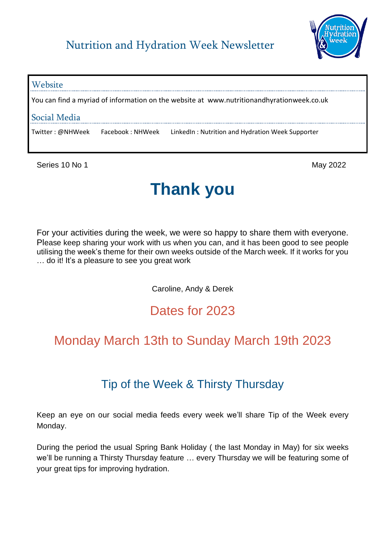

# **Website** You can find a myriad of information on the website at www.nutritionandhyrationweek.co.uk Social Media Twitter : @NHWeek Facebook : NHWeek LinkedIn : Nutrition and Hydration Week Supporter

Series 10 No 1 May 2022

# **Thank you**

For your activities during the week, we were so happy to share them with everyone. Please keep sharing your work with us when you can, and it has been good to see people utilising the week's theme for their own weeks outside of the March week. If it works for you … do it! It's a pleasure to see you great work

Caroline, Andy & Derek

## Dates for 2023

# Monday March 13th to Sunday March 19th 2023

### Tip of the Week & Thirsty Thursday

Keep an eye on our social media feeds every week we'll share Tip of the Week every Monday.

During the period the usual Spring Bank Holiday ( the last Monday in May) for six weeks we'll be running a Thirsty Thursday feature … every Thursday we will be featuring some of your great tips for improving hydration.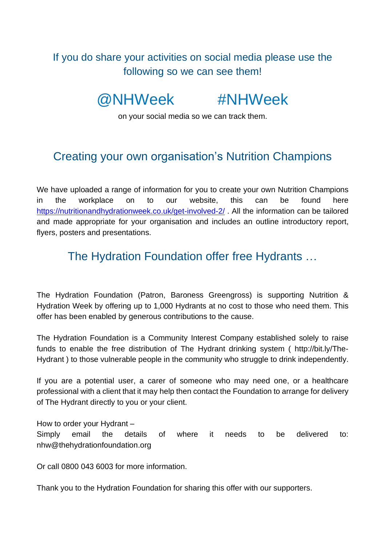If you do share your activities on social media please use the following so we can see them!

@NHWeek #NHWeek

on your social media so we can track them.

#### Creating your own organisation's Nutrition Champions

We have uploaded a range of information for you to create your own Nutrition Champions in the workplace on to our website, this can be found here <https://nutritionandhydrationweek.co.uk/get-involved-2/> . All the information can be tailored and made appropriate for your organisation and includes an outline introductory report, flyers, posters and presentations.

#### The Hydration Foundation offer free Hydrants …

The Hydration Foundation (Patron, Baroness Greengross) is supporting Nutrition & Hydration Week by offering up to 1,000 Hydrants at no cost to those who need them. This offer has been enabled by generous contributions to the cause.

The Hydration Foundation is a Community Interest Company established solely to raise funds to enable the free distribution of The Hydrant drinking system ( http://bit.ly/The-Hydrant ) to those vulnerable people in the community who struggle to drink independently.

If you are a potential user, a carer of someone who may need one, or a healthcare professional with a client that it may help then contact the Foundation to arrange for delivery of The Hydrant directly to you or your client.

How to order your Hydrant – Simply email the details of where it needs to be delivered to: nhw@thehydrationfoundation.org

Or call 0800 043 6003 for more information.

Thank you to the Hydration Foundation for sharing this offer with our supporters.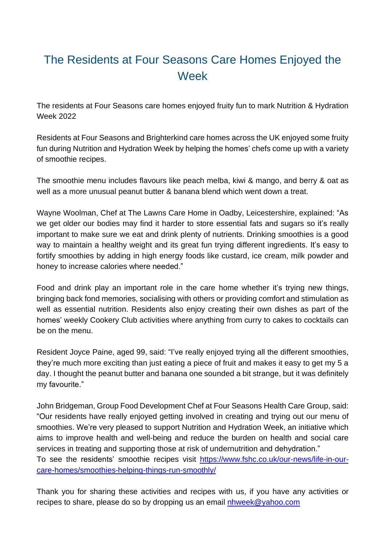## The Residents at Four Seasons Care Homes Enjoyed the Week

The residents at Four Seasons care homes enjoyed fruity fun to mark Nutrition & Hydration Week 2022

Residents at Four Seasons and Brighterkind care homes across the UK enjoyed some fruity fun during Nutrition and Hydration Week by helping the homes' chefs come up with a variety of smoothie recipes.

The smoothie menu includes flavours like peach melba, kiwi & mango, and berry & oat as well as a more unusual peanut butter & banana blend which went down a treat.

Wayne Woolman, Chef at The Lawns Care Home in Oadby, Leicestershire, explained: "As we get older our bodies may find it harder to store essential fats and sugars so it's really important to make sure we eat and drink plenty of nutrients. Drinking smoothies is a good way to maintain a healthy weight and its great fun trying different ingredients. It's easy to fortify smoothies by adding in high energy foods like custard, ice cream, milk powder and honey to increase calories where needed."

Food and drink play an important role in the care home whether it's trying new things, bringing back fond memories, socialising with others or providing comfort and stimulation as well as essential nutrition. Residents also enjoy creating their own dishes as part of the homes' weekly Cookery Club activities where anything from curry to cakes to cocktails can be on the menu.

Resident Joyce Paine, aged 99, said: "I've really enjoyed trying all the different smoothies, they're much more exciting than just eating a piece of fruit and makes it easy to get my 5 a day. I thought the peanut butter and banana one sounded a bit strange, but it was definitely my favourite."

John Bridgeman, Group Food Development Chef at Four Seasons Health Care Group, said: "Our residents have really enjoyed getting involved in creating and trying out our menu of smoothies. We're very pleased to support Nutrition and Hydration Week, an initiative which aims to improve health and well-being and reduce the burden on health and social care services in treating and supporting those at risk of undernutrition and dehydration." To see the residents' smoothie recipes visit [https://www.fshc.co.uk/our-news/life-in-our-](https://www.fshc.co.uk/our-news/life-in-our-care-homes/smoothies-helping-things-run-smoothly/)

[care-homes/smoothies-helping-things-run-smoothly/](https://www.fshc.co.uk/our-news/life-in-our-care-homes/smoothies-helping-things-run-smoothly/)

Thank you for sharing these activities and recipes with us, if you have any activities or recipes to share, please do so by dropping us an email **[nhweek@yahoo.com](mailto:nhweek@yahoo.com)**